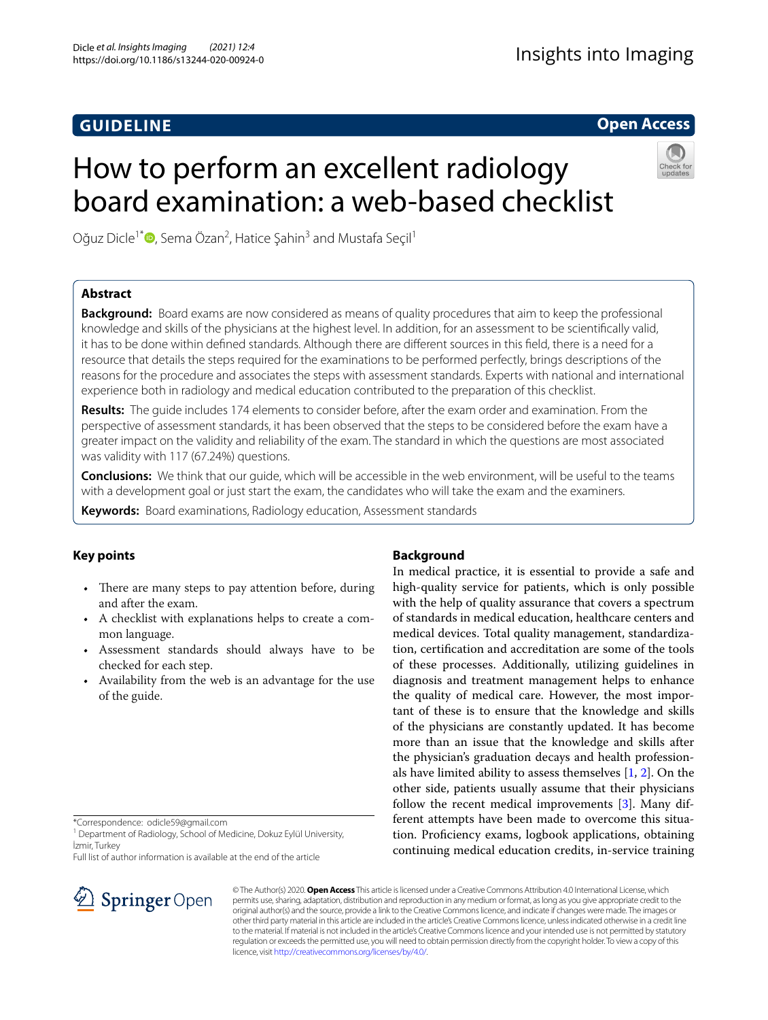# **GUIDELINE**

**Open Access**

# How to perform an excellent radiology board examination: a web-based checklist



Oğuz Dicle<sup>1[\\*](http://orcid.org/0000-0001-5269-4903)</sup>®, Sema Özan<sup>2</sup>, Hatice Şahin<sup>3</sup> and Mustafa Seçil<sup>1</sup>

# **Abstract**

**Background:** Board exams are now considered as means of quality procedures that aim to keep the professional knowledge and skills of the physicians at the highest level. In addition, for an assessment to be scientifcally valid, it has to be done within defned standards. Although there are diferent sources in this feld, there is a need for a resource that details the steps required for the examinations to be performed perfectly, brings descriptions of the reasons for the procedure and associates the steps with assessment standards. Experts with national and international experience both in radiology and medical education contributed to the preparation of this checklist.

**Results:** The guide includes 174 elements to consider before, after the exam order and examination. From the perspective of assessment standards, it has been observed that the steps to be considered before the exam have a greater impact on the validity and reliability of the exam. The standard in which the questions are most associated was validity with 117 (67.24%) questions.

**Conclusions:** We think that our guide, which will be accessible in the web environment, will be useful to the teams with a development goal or just start the exam, the candidates who will take the exam and the examiners.

**Keywords:** Board examinations, Radiology education, Assessment standards

# **Key points**

- There are many steps to pay attention before, during and after the exam.
- A checklist with explanations helps to create a common language.
- Assessment standards should always have to be checked for each step.
- Availability from the web is an advantage for the use of the guide.

\*Correspondence: odicle59@gmail.com

<sup>1</sup> Department of Radiology, School of Medicine, Dokuz Eylül University, İzmir, Turkey

Full list of author information is available at the end of the article



# **Background**

In medical practice, it is essential to provide a safe and high-quality service for patients, which is only possible with the help of quality assurance that covers a spectrum of standards in medical education, healthcare centers and medical devices. Total quality management, standardization, certifcation and accreditation are some of the tools of these processes. Additionally, utilizing guidelines in diagnosis and treatment management helps to enhance the quality of medical care. However, the most important of these is to ensure that the knowledge and skills of the physicians are constantly updated. It has become more than an issue that the knowledge and skills after the physician's graduation decays and health professionals have limited ability to assess themselves [\[1](#page-9-0), [2\]](#page-9-1). On the other side, patients usually assume that their physicians follow the recent medical improvements [[3\]](#page-9-2). Many different attempts have been made to overcome this situation. Profciency exams, logbook applications, obtaining continuing medical education credits, in-service training

© The Author(s) 2020. **Open Access** This article is licensed under a Creative Commons Attribution 4.0 International License, which permits use, sharing, adaptation, distribution and reproduction in any medium or format, as long as you give appropriate credit to the original author(s) and the source, provide a link to the Creative Commons licence, and indicate if changes were made. The images or other third party material in this article are included in the article's Creative Commons licence, unless indicated otherwise in a credit line to the material. If material is not included in the article's Creative Commons licence and your intended use is not permitted by statutory regulation or exceeds the permitted use, you will need to obtain permission directly from the copyright holder. To view a copy of this licence, visit [http://creativecommons.org/licenses/by/4.0/.](http://creativecommons.org/licenses/by/4.0/)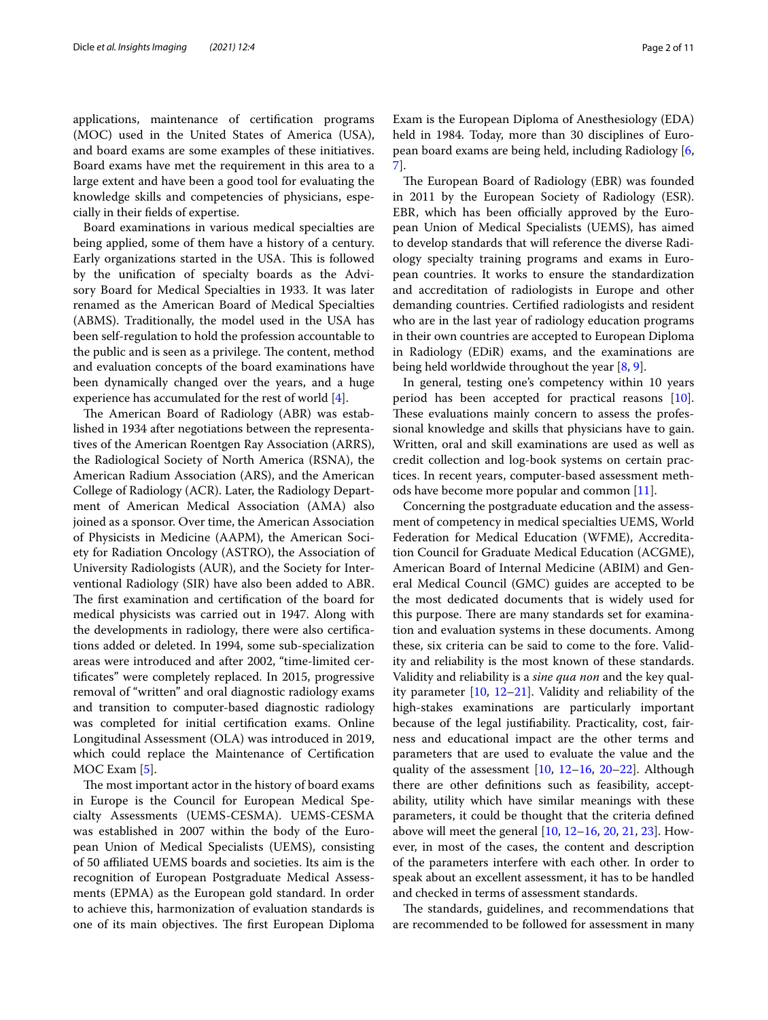applications, maintenance of certifcation programs (MOC) used in the United States of America (USA), and board exams are some examples of these initiatives. Board exams have met the requirement in this area to a large extent and have been a good tool for evaluating the knowledge skills and competencies of physicians, especially in their felds of expertise.

Board examinations in various medical specialties are being applied, some of them have a history of a century. Early organizations started in the USA. This is followed by the unifcation of specialty boards as the Advisory Board for Medical Specialties in 1933. It was later renamed as the American Board of Medical Specialties (ABMS). Traditionally, the model used in the USA has been self-regulation to hold the profession accountable to the public and is seen as a privilege. The content, method and evaluation concepts of the board examinations have been dynamically changed over the years, and a huge experience has accumulated for the rest of world [\[4](#page-9-3)].

The American Board of Radiology (ABR) was established in 1934 after negotiations between the representatives of the American Roentgen Ray Association (ARRS), the Radiological Society of North America (RSNA), the American Radium Association (ARS), and the American College of Radiology (ACR). Later, the Radiology Department of American Medical Association (AMA) also joined as a sponsor. Over time, the American Association of Physicists in Medicine (AAPM), the American Society for Radiation Oncology (ASTRO), the Association of University Radiologists (AUR), and the Society for Interventional Radiology (SIR) have also been added to ABR. The first examination and certification of the board for medical physicists was carried out in 1947. Along with the developments in radiology, there were also certifcations added or deleted. In 1994, some sub-specialization areas were introduced and after 2002, "time-limited certifcates" were completely replaced. In 2015, progressive removal of "written" and oral diagnostic radiology exams and transition to computer-based diagnostic radiology was completed for initial certifcation exams. Online Longitudinal Assessment (OLA) was introduced in 2019, which could replace the Maintenance of Certifcation MOC Exam [\[5](#page-9-4)].

The most important actor in the history of board exams in Europe is the Council for European Medical Specialty Assessments (UEMS-CESMA). UEMS-CESMA was established in 2007 within the body of the European Union of Medical Specialists (UEMS), consisting of 50 afliated UEMS boards and societies. Its aim is the recognition of European Postgraduate Medical Assessments (EPMA) as the European gold standard. In order to achieve this, harmonization of evaluation standards is one of its main objectives. The first European Diploma Exam is the European Diploma of Anesthesiology (EDA) held in 1984. Today, more than 30 disciplines of European board exams are being held, including Radiology [\[6](#page-9-5), [7\]](#page-9-6).

The European Board of Radiology (EBR) was founded in 2011 by the European Society of Radiology (ESR). EBR, which has been officially approved by the European Union of Medical Specialists (UEMS), has aimed to develop standards that will reference the diverse Radiology specialty training programs and exams in European countries. It works to ensure the standardization and accreditation of radiologists in Europe and other demanding countries. Certifed radiologists and resident who are in the last year of radiology education programs in their own countries are accepted to European Diploma in Radiology (EDiR) exams, and the examinations are being held worldwide throughout the year [[8,](#page-9-7) [9](#page-9-8)].

In general, testing one's competency within 10 years period has been accepted for practical reasons [\[10](#page-9-9)]. These evaluations mainly concern to assess the professional knowledge and skills that physicians have to gain. Written, oral and skill examinations are used as well as credit collection and log-book systems on certain practices. In recent years, computer-based assessment methods have become more popular and common [\[11](#page-9-10)].

Concerning the postgraduate education and the assessment of competency in medical specialties UEMS, World Federation for Medical Education (WFME), Accreditation Council for Graduate Medical Education (ACGME), American Board of Internal Medicine (ABIM) and General Medical Council (GMC) guides are accepted to be the most dedicated documents that is widely used for this purpose. There are many standards set for examination and evaluation systems in these documents. Among these, six criteria can be said to come to the fore. Validity and reliability is the most known of these standards. Validity and reliability is a *sine qua non* and the key quality parameter [[10](#page-9-9), [12](#page-9-11)[–21\]](#page-9-12). Validity and reliability of the high-stakes examinations are particularly important because of the legal justifability. Practicality, cost, fairness and educational impact are the other terms and parameters that are used to evaluate the value and the quality of the assessment  $[10, 12-16, 20-22]$  $[10, 12-16, 20-22]$  $[10, 12-16, 20-22]$  $[10, 12-16, 20-22]$  $[10, 12-16, 20-22]$  $[10, 12-16, 20-22]$ . Although there are other defnitions such as feasibility, acceptability, utility which have similar meanings with these parameters, it could be thought that the criteria defned above will meet the general [[10,](#page-9-9) [12](#page-9-11)[–16](#page-9-13), [20,](#page-9-14) [21,](#page-9-12) [23](#page-10-1)]. However, in most of the cases, the content and description of the parameters interfere with each other. In order to speak about an excellent assessment, it has to be handled and checked in terms of assessment standards.

The standards, guidelines, and recommendations that are recommended to be followed for assessment in many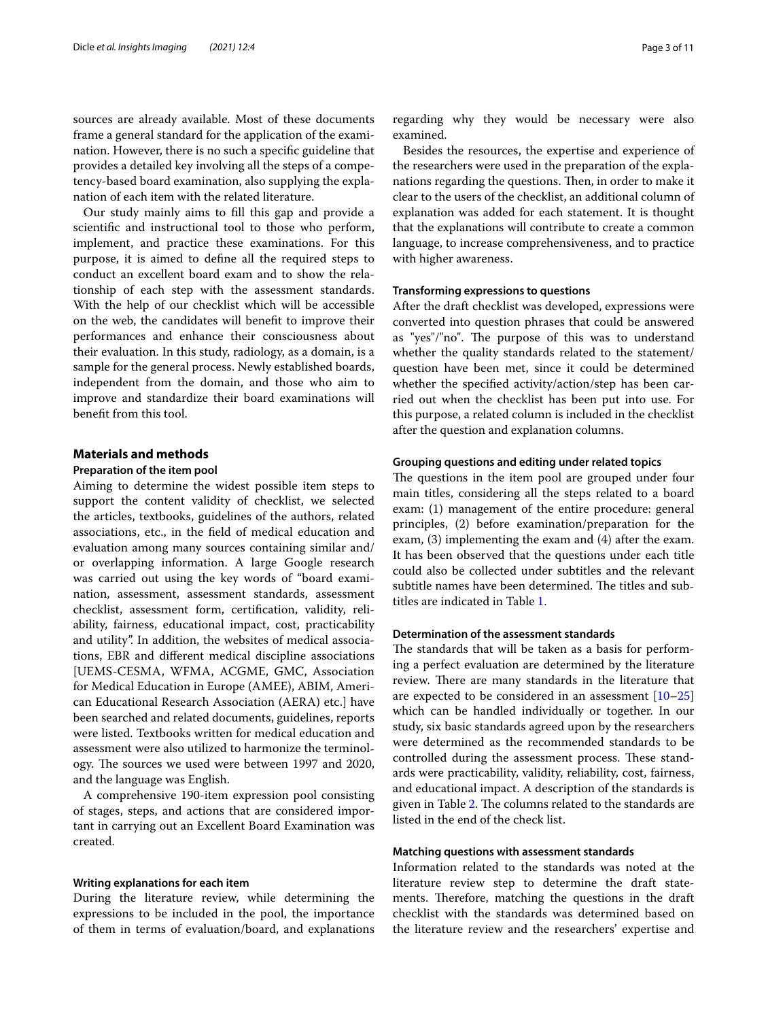sources are already available. Most of these documents frame a general standard for the application of the examination. However, there is no such a specifc guideline that provides a detailed key involving all the steps of a competency-based board examination, also supplying the explanation of each item with the related literature.

Our study mainly aims to fll this gap and provide a scientifc and instructional tool to those who perform, implement, and practice these examinations. For this purpose, it is aimed to defne all the required steps to conduct an excellent board exam and to show the relationship of each step with the assessment standards. With the help of our checklist which will be accessible on the web, the candidates will beneft to improve their performances and enhance their consciousness about their evaluation. In this study, radiology, as a domain, is a sample for the general process. Newly established boards, independent from the domain, and those who aim to improve and standardize their board examinations will beneft from this tool.

# **Materials and methods**

# **Preparation of the item pool**

Aiming to determine the widest possible item steps to support the content validity of checklist, we selected the articles, textbooks, guidelines of the authors, related associations, etc., in the feld of medical education and evaluation among many sources containing similar and/ or overlapping information. A large Google research was carried out using the key words of "board examination, assessment, assessment standards, assessment checklist, assessment form, certifcation, validity, reliability, fairness, educational impact, cost, practicability and utility". In addition, the websites of medical associations, EBR and diferent medical discipline associations [UEMS-CESMA, WFMA, ACGME, GMC, Association for Medical Education in Europe (AMEE), ABIM, American Educational Research Association (AERA) etc.] have been searched and related documents, guidelines, reports were listed. Textbooks written for medical education and assessment were also utilized to harmonize the terminology. The sources we used were between 1997 and 2020, and the language was English.

A comprehensive 190-item expression pool consisting of stages, steps, and actions that are considered important in carrying out an Excellent Board Examination was created.

# **Writing explanations for each item**

During the literature review, while determining the expressions to be included in the pool, the importance of them in terms of evaluation/board, and explanations

regarding why they would be necessary were also examined.

Besides the resources, the expertise and experience of the researchers were used in the preparation of the explanations regarding the questions. Then, in order to make it clear to the users of the checklist, an additional column of explanation was added for each statement. It is thought that the explanations will contribute to create a common language, to increase comprehensiveness, and to practice with higher awareness.

# **Transforming expressions to questions**

After the draft checklist was developed, expressions were converted into question phrases that could be answered as "yes"/"no". The purpose of this was to understand whether the quality standards related to the statement/ question have been met, since it could be determined whether the specifed activity/action/step has been carried out when the checklist has been put into use. For this purpose, a related column is included in the checklist after the question and explanation columns.

# **Grouping questions and editing under related topics**

The questions in the item pool are grouped under four main titles, considering all the steps related to a board exam: (1) management of the entire procedure: general principles, (2) before examination/preparation for the exam, (3) implementing the exam and (4) after the exam. It has been observed that the questions under each title could also be collected under subtitles and the relevant subtitle names have been determined. The titles and subtitles are indicated in Table [1.](#page-3-0)

# **Determination of the assessment standards**

The standards that will be taken as a basis for performing a perfect evaluation are determined by the literature review. There are many standards in the literature that are expected to be considered in an assessment [[10–](#page-9-9)[25](#page-10-2)] which can be handled individually or together. In our study, six basic standards agreed upon by the researchers were determined as the recommended standards to be controlled during the assessment process. These standards were practicability, validity, reliability, cost, fairness, and educational impact. A description of the standards is given in Table [2.](#page-3-1) The columns related to the standards are listed in the end of the check list.

# **Matching questions with assessment standards**

Information related to the standards was noted at the literature review step to determine the draft statements. Therefore, matching the questions in the draft checklist with the standards was determined based on the literature review and the researchers' expertise and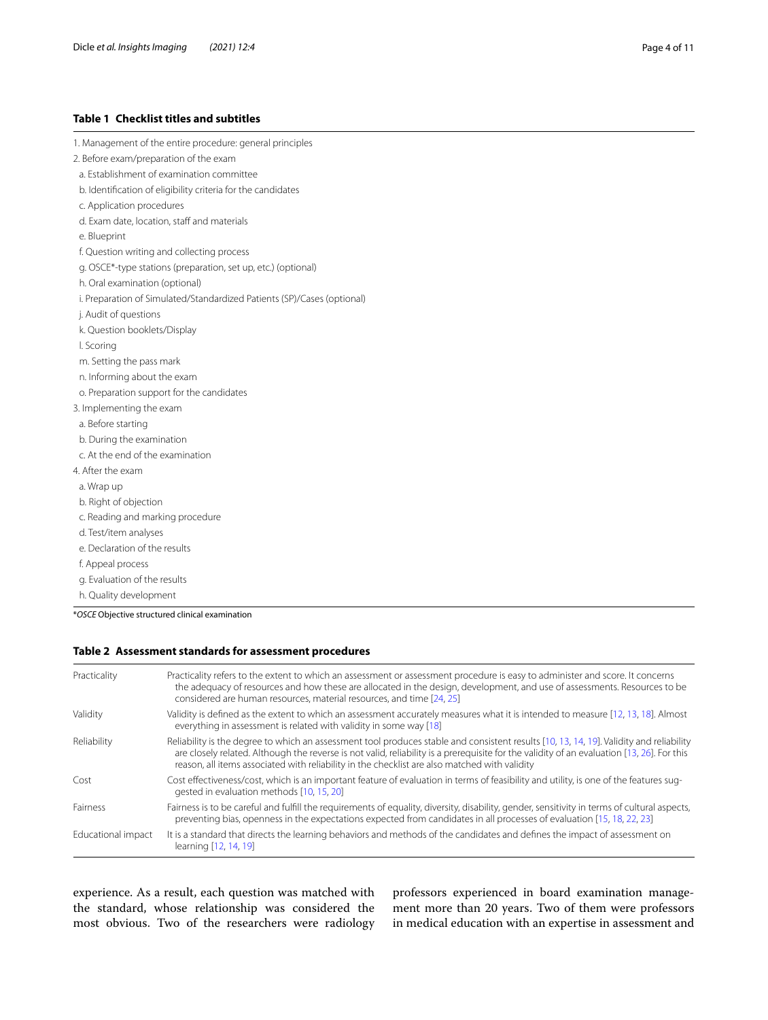# <span id="page-3-0"></span>**Table 1 Checklist titles and subtitles**

| 1. Management of the entire procedure: general principles               |
|-------------------------------------------------------------------------|
| 2. Before exam/preparation of the exam                                  |
| a. Establishment of examination committee                               |
| b. Identification of eligibility criteria for the candidates            |
| c. Application procedures                                               |
| d. Exam date, location, staff and materials                             |
| e. Blueprint                                                            |
| f. Question writing and collecting process                              |
| g. OSCE*-type stations (preparation, set up, etc.) (optional)           |
| h. Oral examination (optional)                                          |
| i. Preparation of Simulated/Standardized Patients (SP)/Cases (optional) |
| j. Audit of questions                                                   |
| k. Question booklets/Display                                            |
| I. Scoring                                                              |
| m. Setting the pass mark                                                |
| n. Informing about the exam                                             |
| o. Preparation support for the candidates                               |
| 3. Implementing the exam                                                |
| a. Before starting                                                      |
| b. During the examination                                               |
| c. At the end of the examination                                        |
| 4. After the exam                                                       |
| a. Wrap up                                                              |
| b. Right of objection                                                   |
| c. Reading and marking procedure                                        |
| d. Test/item analyses                                                   |
| e. Declaration of the results                                           |
| f. Appeal process                                                       |
| g. Evaluation of the results                                            |
| h. Quality development                                                  |

\**OSCE* Objective structured clinical examination

# <span id="page-3-1"></span>**Table 2 Assessment standards for assessment procedures**

| Practicality       | Practicality refers to the extent to which an assessment or assessment procedure is easy to administer and score. It concerns<br>the adequacy of resources and how these are allocated in the design, development, and use of assessments. Resources to be<br>considered are human resources, material resources, and time [24, 25]                                                    |
|--------------------|----------------------------------------------------------------------------------------------------------------------------------------------------------------------------------------------------------------------------------------------------------------------------------------------------------------------------------------------------------------------------------------|
| Validity           | Validity is defined as the extent to which an assessment accurately measures what it is intended to measure [12, 13, 18]. Almost<br>everything in assessment is related with validity in some way [18]                                                                                                                                                                                 |
| Reliability        | Reliability is the degree to which an assessment tool produces stable and consistent results [10, 13, 14, 19]. Validity and reliability<br>are closely related. Although the reverse is not valid, reliability is a prerequisite for the validity of an evaluation [13, 26]. For this<br>reason, all items associated with reliability in the checklist are also matched with validity |
| Cost               | Cost effectiveness/cost, which is an important feature of evaluation in terms of feasibility and utility, is one of the features sug-<br>gested in evaluation methods [10, 15, 20]                                                                                                                                                                                                     |
| Fairness           | Fairness is to be careful and fulfill the requirements of equality, diversity, disability, gender, sensitivity in terms of cultural aspects,<br>preventing bias, openness in the expectations expected from candidates in all processes of evaluation [15, 18, 22, 23]                                                                                                                 |
| Educational impact | It is a standard that directs the learning behaviors and methods of the candidates and defines the impact of assessment on<br>learning [12, 14, 19]                                                                                                                                                                                                                                    |

experience. As a result, each question was matched with the standard, whose relationship was considered the most obvious. Two of the researchers were radiology

professors experienced in board examination management more than 20 years. Two of them were professors in medical education with an expertise in assessment and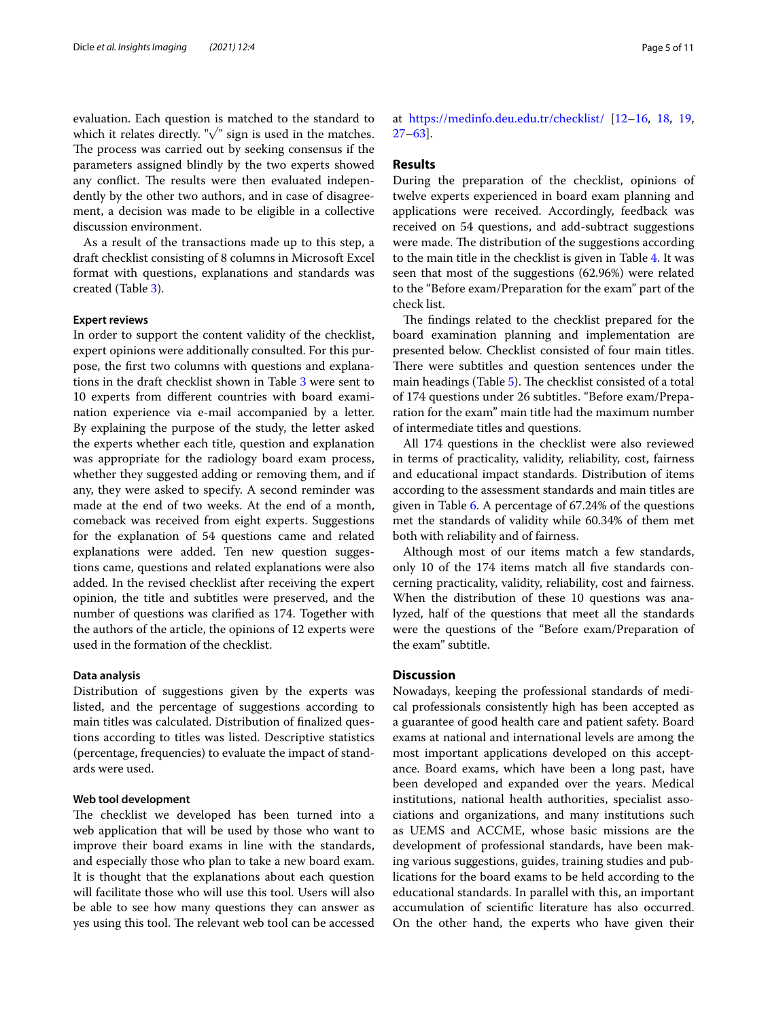evaluation. Each question is matched to the standard to which it relates directly. " $\sqrt{\ }$ " sign is used in the matches. The process was carried out by seeking consensus if the parameters assigned blindly by the two experts showed any conflict. The results were then evaluated independently by the other two authors, and in case of disagreement, a decision was made to be eligible in a collective discussion environment.

As a result of the transactions made up to this step, a draft checklist consisting of 8 columns in Microsoft Excel format with questions, explanations and standards was created (Table [3\)](#page-5-0).

# **Expert reviews**

In order to support the content validity of the checklist, expert opinions were additionally consulted. For this purpose, the frst two columns with questions and explanations in the draft checklist shown in Table [3](#page-5-0) were sent to 10 experts from diferent countries with board examination experience via e-mail accompanied by a letter. By explaining the purpose of the study, the letter asked the experts whether each title, question and explanation was appropriate for the radiology board exam process, whether they suggested adding or removing them, and if any, they were asked to specify. A second reminder was made at the end of two weeks. At the end of a month, comeback was received from eight experts. Suggestions for the explanation of 54 questions came and related explanations were added. Ten new question suggestions came, questions and related explanations were also added. In the revised checklist after receiving the expert opinion, the title and subtitles were preserved, and the number of questions was clarifed as 174. Together with the authors of the article, the opinions of 12 experts were used in the formation of the checklist.

# **Data analysis**

Distribution of suggestions given by the experts was listed, and the percentage of suggestions according to main titles was calculated. Distribution of fnalized questions according to titles was listed. Descriptive statistics (percentage, frequencies) to evaluate the impact of standards were used.

# **Web tool development**

The checklist we developed has been turned into a web application that will be used by those who want to improve their board exams in line with the standards, and especially those who plan to take a new board exam. It is thought that the explanations about each question will facilitate those who will use this tool. Users will also be able to see how many questions they can answer as yes using this tool. The relevant web tool can be accessed at <https://medinfo.deu.edu.tr/checklist/>[[12–](#page-9-11)[16,](#page-9-13) [18](#page-9-16), [19](#page-9-18), [27](#page-10-5)[–63](#page-10-6)].

## **Results**

During the preparation of the checklist, opinions of twelve experts experienced in board exam planning and applications were received. Accordingly, feedback was received on 54 questions, and add-subtract suggestions were made. The distribution of the suggestions according to the main title in the checklist is given in Table [4.](#page-7-0) It was seen that most of the suggestions (62.96%) were related to the "Before exam/Preparation for the exam" part of the check list.

The findings related to the checklist prepared for the board examination planning and implementation are presented below. Checklist consisted of four main titles. There were subtitles and question sentences under the main headings (Table [5\)](#page-7-1). The checklist consisted of a total of 174 questions under 26 subtitles. "Before exam/Preparation for the exam" main title had the maximum number of intermediate titles and questions.

All 174 questions in the checklist were also reviewed in terms of practicality, validity, reliability, cost, fairness and educational impact standards. Distribution of items according to the assessment standards and main titles are given in Table [6.](#page-7-2) A percentage of 67.24% of the questions met the standards of validity while 60.34% of them met both with reliability and of fairness.

Although most of our items match a few standards, only 10 of the 174 items match all fve standards concerning practicality, validity, reliability, cost and fairness. When the distribution of these 10 questions was analyzed, half of the questions that meet all the standards were the questions of the "Before exam/Preparation of the exam" subtitle.

# **Discussion**

Nowadays, keeping the professional standards of medical professionals consistently high has been accepted as a guarantee of good health care and patient safety. Board exams at national and international levels are among the most important applications developed on this acceptance. Board exams, which have been a long past, have been developed and expanded over the years. Medical institutions, national health authorities, specialist associations and organizations, and many institutions such as UEMS and ACCME, whose basic missions are the development of professional standards, have been making various suggestions, guides, training studies and publications for the board exams to be held according to the educational standards. In parallel with this, an important accumulation of scientifc literature has also occurred. On the other hand, the experts who have given their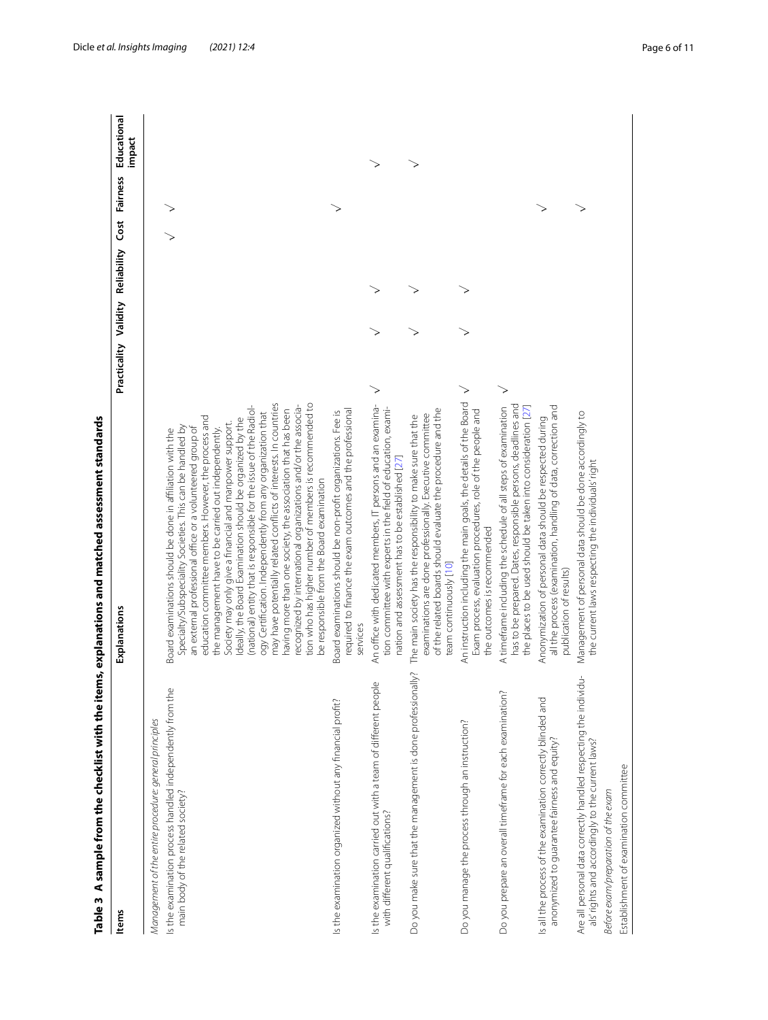<span id="page-5-0"></span>

| ֖֖֖֖֖֪ׅ֖֧֪ׅ֪ׅ֪֪֪ׅ֪֪ׅ֚֚֚֚֚֚֚֚֚֚֚֚֚֚֚֚֚֚֚֚֬֝֝֝֝֓֬ |  |
|-------------------------------------------------|--|

| Items                                                                                                                                                       | Explanations                                                                                                                                                                                                                                                                                                                                                                                                                                                                                                                                                                                                                                                                                                                                                                                                                                                                   | Practicality Validity | Reliability | Cost | Fairness | Educational<br>impact |
|-------------------------------------------------------------------------------------------------------------------------------------------------------------|--------------------------------------------------------------------------------------------------------------------------------------------------------------------------------------------------------------------------------------------------------------------------------------------------------------------------------------------------------------------------------------------------------------------------------------------------------------------------------------------------------------------------------------------------------------------------------------------------------------------------------------------------------------------------------------------------------------------------------------------------------------------------------------------------------------------------------------------------------------------------------|-----------------------|-------------|------|----------|-----------------------|
| is the examination process handled independently from the<br>Management of the entire procedure: general principles<br>main body of the related society?    | may have potentially related conflicts of interests. In countries<br>tion who has higher number of members is recommended to<br>recognized by international organizations and/or the associa-<br>(national) entity that is responsible for the issue of the Radiol-<br>having more than one society, the association that has been<br>ogy Certification. Independently from any organization that<br>education committee members. However, the process and<br>ideally, the Board Examination should be organized by the<br>Society may only give a financial and manpower support.<br>Specialty/Subspeciality Societies. This can be handled by<br>an external professional office or a volunteered group of<br>the management have to be carried out independently.<br>Board examinations should be done in affiliation with the<br>be responsible from the Board examination |                       |             |      |          |                       |
| Is the examination organized without any financial profit?                                                                                                  | required to finance the exam outcomes and the professional<br>Board examinations should be non-profit organizations. Fee is<br>services                                                                                                                                                                                                                                                                                                                                                                                                                                                                                                                                                                                                                                                                                                                                        |                       |             |      |          |                       |
| Is the examination carried out with a team of different people<br>with different qualifications?                                                            | An office with dedicated members, IT persons and an examina-<br>tion committee with experts in the field of education, exami-<br>nation and assessment has to be established [27]                                                                                                                                                                                                                                                                                                                                                                                                                                                                                                                                                                                                                                                                                              |                       |             |      |          |                       |
| Do you make sure that the management is done professionally?                                                                                                | of the related boards should evaluate the procedure and the<br>examinations are done professionally. Executive committee<br>The main society has the responsibility to make sure that the<br>team continuously [10]                                                                                                                                                                                                                                                                                                                                                                                                                                                                                                                                                                                                                                                            |                       |             |      |          |                       |
| Do you manage the process through an instruction?                                                                                                           | An instruction including the main goals, the details of the Board<br>Exam process, evaluation procedures, role of the people and<br>the outcomes is recommended                                                                                                                                                                                                                                                                                                                                                                                                                                                                                                                                                                                                                                                                                                                | >                     |             |      |          |                       |
| Do you prepare an overall timeframe for each examination?                                                                                                   | has to be prepared. Dates, responsible persons, deadlines and<br>A timeframe including the schedule of all steps of examination<br>the places to be used should be taken into consideration [27]                                                                                                                                                                                                                                                                                                                                                                                                                                                                                                                                                                                                                                                                               |                       |             |      |          |                       |
| Is all the process of the examination correctly blinded and<br>anonymized to guarantee fairness and equity?                                                 | all the process (examination, handling of data, correction and<br>Anonymization of personal data should be respected during<br>publication of results)                                                                                                                                                                                                                                                                                                                                                                                                                                                                                                                                                                                                                                                                                                                         |                       |             |      |          |                       |
| Are all personal data correctly handled respecting the individu-<br>als' rights and accordingly to the current laws?<br>Before exam/preparation of the exam | Management of personal data should be done accordingly to<br>the current laws respecting the individuals' right                                                                                                                                                                                                                                                                                                                                                                                                                                                                                                                                                                                                                                                                                                                                                                |                       |             |      |          |                       |
| Establishment of examination committee                                                                                                                      |                                                                                                                                                                                                                                                                                                                                                                                                                                                                                                                                                                                                                                                                                                                                                                                                                                                                                |                       |             |      |          |                       |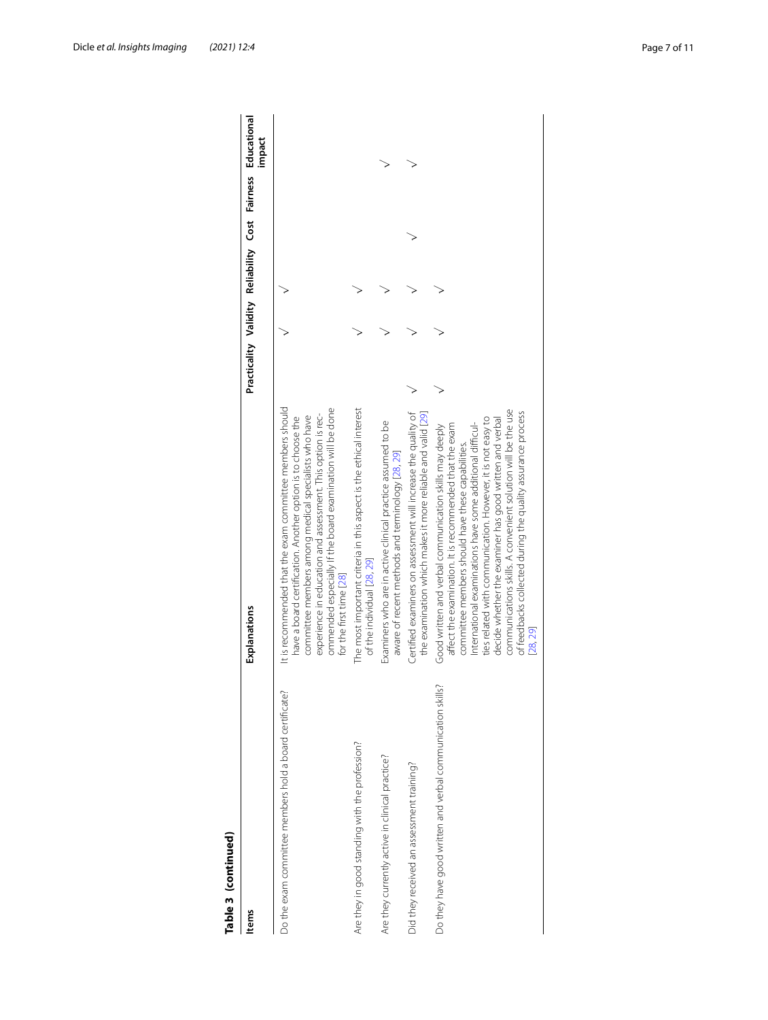| Table 3 (continued)                                        |                                                                                                                                                                                                                                                                                                                                                                                                                                                                                                        |  |  |                                                                       |
|------------------------------------------------------------|--------------------------------------------------------------------------------------------------------------------------------------------------------------------------------------------------------------------------------------------------------------------------------------------------------------------------------------------------------------------------------------------------------------------------------------------------------------------------------------------------------|--|--|-----------------------------------------------------------------------|
| Items                                                      | Explanations                                                                                                                                                                                                                                                                                                                                                                                                                                                                                           |  |  | Practicality Validity Reliability Cost Fairness Educational<br>impact |
| Do the exam committee members hold a board certificate?    | It is recommended that the exam committee members should<br>ommended especially If the board examination will be done<br>experience in education and assessment. This option is rec-<br>committee members among medical specialists who have<br>have a board certification. Another option is to choose the<br>for the first time [28]                                                                                                                                                                 |  |  |                                                                       |
| Are they in good standing with the profession?             | The most important criteria in this aspect is the ethical interest<br>of the individual [28, 29]                                                                                                                                                                                                                                                                                                                                                                                                       |  |  |                                                                       |
| Are they currently active in clinical practice?            | Examiners who are in active clinical practice assumed to be<br>aware of recent methods and terminology [28, 29]                                                                                                                                                                                                                                                                                                                                                                                        |  |  |                                                                       |
| Did they received an assessment training?                  | Certified examiners on assessment will increase the quality of<br>the examination which makes it more reliable and valid [29]                                                                                                                                                                                                                                                                                                                                                                          |  |  |                                                                       |
| Do they have good written and verbal communication skills? | communications skills. A convenient solution will be the use<br>of feedbacks collected during the quality assurance process<br>decide whether the examiner has good written and verbal<br>ties related with communication. However, it is not easy to<br>affect the examination. It is recommended that the exam<br>International examinations have some additional difficul-<br>Good written and verbal communication skills may deeply<br>committee members should have these capabilities<br>28, 29 |  |  |                                                                       |
|                                                            |                                                                                                                                                                                                                                                                                                                                                                                                                                                                                                        |  |  |                                                                       |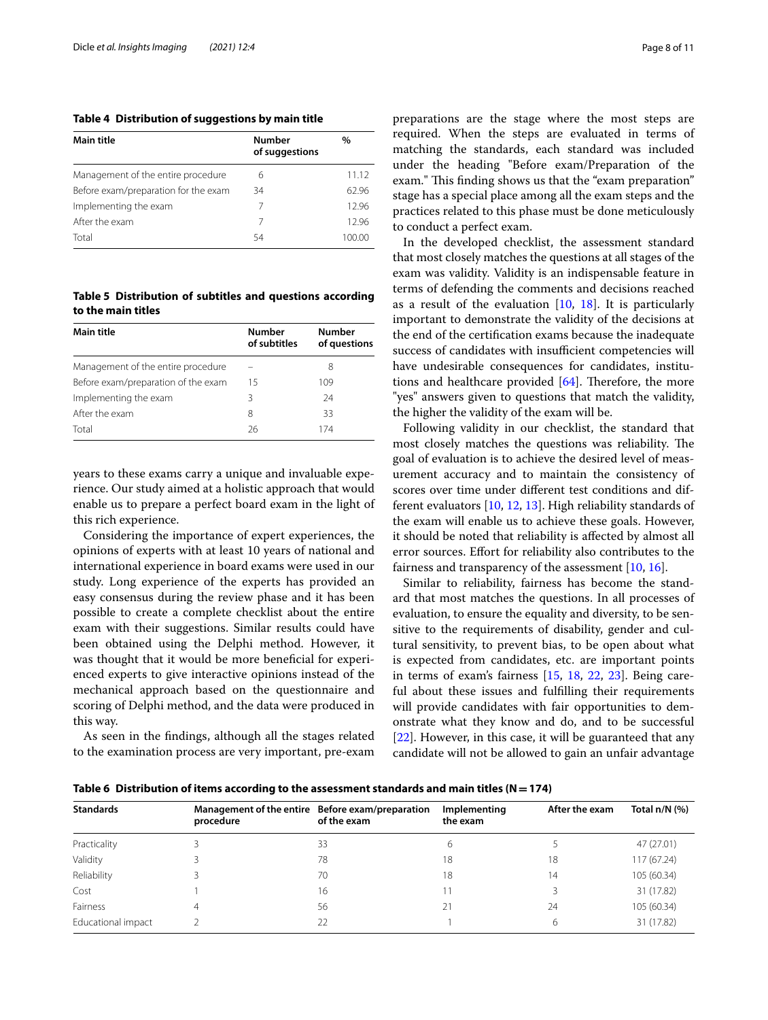<span id="page-7-0"></span>**Table 4 Distribution of suggestions by main title**

| <b>Main title</b>                    | <b>Number</b><br>of suggestions | $\%$   |
|--------------------------------------|---------------------------------|--------|
| Management of the entire procedure   | 6                               | 11.12  |
| Before exam/preparation for the exam | 34                              | 62.96  |
| Implementing the exam                |                                 | 12.96  |
| After the exam                       |                                 | 12.96  |
| Total                                | 54                              | 100.00 |

<span id="page-7-1"></span>**Table 5 Distribution of subtitles and questions according to the main titles**

| <b>Main title</b>                   | <b>Number</b><br>of subtitles | <b>Number</b><br>of questions |
|-------------------------------------|-------------------------------|-------------------------------|
| Management of the entire procedure  |                               | 8                             |
| Before exam/preparation of the exam | 15                            | 109                           |
| Implementing the exam               | 3                             | 24                            |
| After the exam                      | 8                             | 33                            |
| Total                               | 26                            | 174                           |

years to these exams carry a unique and invaluable experience. Our study aimed at a holistic approach that would enable us to prepare a perfect board exam in the light of this rich experience.

Considering the importance of expert experiences, the opinions of experts with at least 10 years of national and international experience in board exams were used in our study. Long experience of the experts has provided an easy consensus during the review phase and it has been possible to create a complete checklist about the entire exam with their suggestions. Similar results could have been obtained using the Delphi method. However, it was thought that it would be more benefcial for experienced experts to give interactive opinions instead of the mechanical approach based on the questionnaire and scoring of Delphi method, and the data were produced in this way.

As seen in the fndings, although all the stages related to the examination process are very important, pre-exam preparations are the stage where the most steps are required. When the steps are evaluated in terms of matching the standards, each standard was included under the heading "Before exam/Preparation of the exam." This finding shows us that the "exam preparation" stage has a special place among all the exam steps and the practices related to this phase must be done meticulously to conduct a perfect exam.

In the developed checklist, the assessment standard that most closely matches the questions at all stages of the exam was validity. Validity is an indispensable feature in terms of defending the comments and decisions reached as a result of the evaluation  $[10, 18]$  $[10, 18]$  $[10, 18]$  $[10, 18]$  $[10, 18]$ . It is particularly important to demonstrate the validity of the decisions at the end of the certifcation exams because the inadequate success of candidates with insufficient competencies will have undesirable consequences for candidates, institutions and healthcare provided  $[64]$  $[64]$ . Therefore, the more "yes" answers given to questions that match the validity, the higher the validity of the exam will be.

Following validity in our checklist, the standard that most closely matches the questions was reliability. The goal of evaluation is to achieve the desired level of measurement accuracy and to maintain the consistency of scores over time under diferent test conditions and different evaluators [[10](#page-9-9), [12,](#page-9-11) [13](#page-9-15)]. High reliability standards of the exam will enable us to achieve these goals. However, it should be noted that reliability is afected by almost all error sources. Efort for reliability also contributes to the fairness and transparency of the assessment [[10](#page-9-9), [16\]](#page-9-13).

Similar to reliability, fairness has become the standard that most matches the questions. In all processes of evaluation, to ensure the equality and diversity, to be sensitive to the requirements of disability, gender and cultural sensitivity, to prevent bias, to be open about what is expected from candidates, etc. are important points in terms of exam's fairness [\[15](#page-9-19), [18](#page-9-16), [22,](#page-10-0) [23\]](#page-10-1). Being careful about these issues and fulflling their requirements will provide candidates with fair opportunities to demonstrate what they know and do, and to be successful [[22\]](#page-10-0). However, in this case, it will be guaranteed that any candidate will not be allowed to gain an unfair advantage

<span id="page-7-2"></span>**Table 6 Distribution of items according to the assessment standards and main titles (N=174)**

| <b>Standards</b>   | Management of the entire Before exam/preparation<br>procedure | of the exam | Implementing<br>the exam | After the exam | Total $n/N$ (%) |
|--------------------|---------------------------------------------------------------|-------------|--------------------------|----------------|-----------------|
| Practicality       |                                                               | 33          | 6                        |                | 47 (27.01)      |
| Validity           |                                                               | 78          | 18                       | 18             | 117 (67.24)     |
| Reliability        |                                                               | 70          | 18                       | 14             | 105 (60.34)     |
| Cost               |                                                               | 16          |                          |                | 31 (17.82)      |
| Fairness           |                                                               | 56          |                          | 24             | 105 (60.34)     |
| Educational impact |                                                               | 22          |                          | 6              | 31 (17.82)      |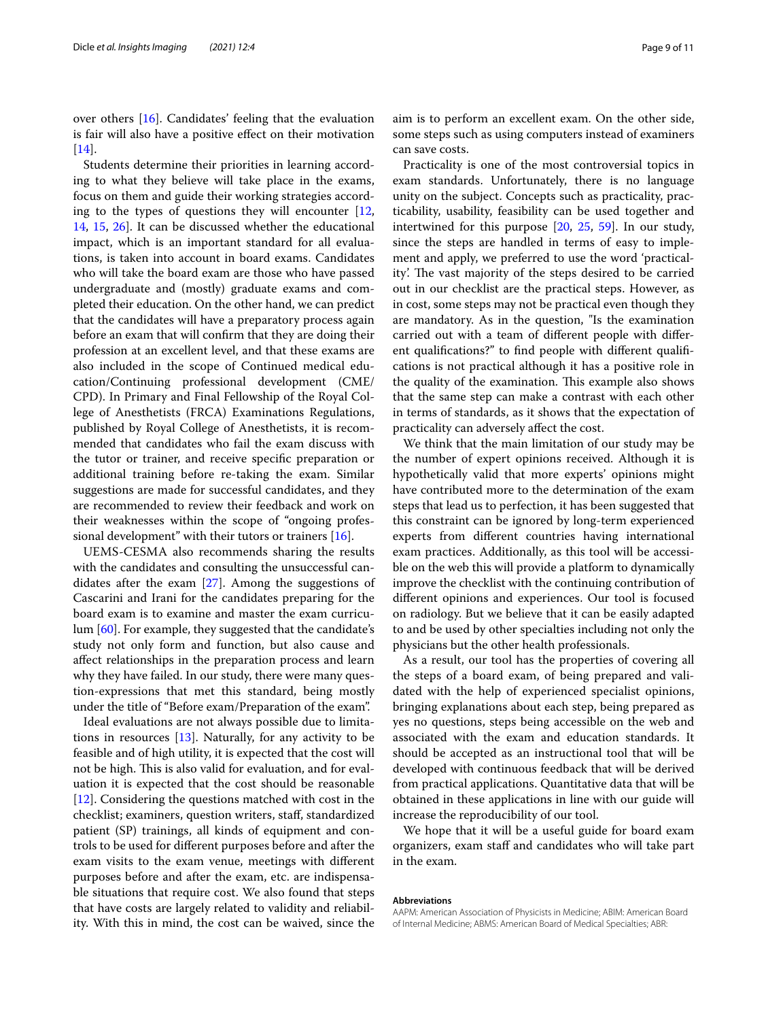over others [[16](#page-9-13)]. Candidates' feeling that the evaluation is fair will also have a positive efect on their motivation [[14\]](#page-9-17).

Students determine their priorities in learning according to what they believe will take place in the exams, focus on them and guide their working strategies according to the types of questions they will encounter  $[12, 12]$  $[12, 12]$ [14,](#page-9-17) [15,](#page-9-19) [26](#page-10-4)]. It can be discussed whether the educational impact, which is an important standard for all evaluations, is taken into account in board exams. Candidates who will take the board exam are those who have passed undergraduate and (mostly) graduate exams and completed their education. On the other hand, we can predict that the candidates will have a preparatory process again before an exam that will confrm that they are doing their profession at an excellent level, and that these exams are also included in the scope of Continued medical education/Continuing professional development (CME/ CPD). In Primary and Final Fellowship of the Royal College of Anesthetists (FRCA) Examinations Regulations, published by Royal College of Anesthetists, it is recommended that candidates who fail the exam discuss with the tutor or trainer, and receive specifc preparation or additional training before re-taking the exam. Similar suggestions are made for successful candidates, and they are recommended to review their feedback and work on their weaknesses within the scope of "ongoing professional development" with their tutors or trainers [\[16](#page-9-13)].

UEMS-CESMA also recommends sharing the results with the candidates and consulting the unsuccessful candidates after the exam [[27\]](#page-10-5). Among the suggestions of Cascarini and Irani for the candidates preparing for the board exam is to examine and master the exam curriculum [\[60](#page-10-10)]. For example, they suggested that the candidate's study not only form and function, but also cause and afect relationships in the preparation process and learn why they have failed. In our study, there were many question-expressions that met this standard, being mostly under the title of "Before exam/Preparation of the exam".

Ideal evaluations are not always possible due to limitations in resources [[13](#page-9-15)]. Naturally, for any activity to be feasible and of high utility, it is expected that the cost will not be high. This is also valid for evaluation, and for evaluation it is expected that the cost should be reasonable [[12\]](#page-9-11). Considering the questions matched with cost in the checklist; examiners, question writers, staf, standardized patient (SP) trainings, all kinds of equipment and controls to be used for diferent purposes before and after the exam visits to the exam venue, meetings with diferent purposes before and after the exam, etc. are indispensable situations that require cost. We also found that steps that have costs are largely related to validity and reliability. With this in mind, the cost can be waived, since the aim is to perform an excellent exam. On the other side, some steps such as using computers instead of examiners can save costs.

Practicality is one of the most controversial topics in exam standards. Unfortunately, there is no language unity on the subject. Concepts such as practicality, practicability, usability, feasibility can be used together and intertwined for this purpose [\[20,](#page-9-14) [25](#page-10-2), [59](#page-10-11)]. In our study, since the steps are handled in terms of easy to implement and apply, we preferred to use the word 'practicality'. The vast majority of the steps desired to be carried out in our checklist are the practical steps. However, as in cost, some steps may not be practical even though they are mandatory. As in the question, "Is the examination carried out with a team of diferent people with diferent qualifcations?" to fnd people with diferent qualifcations is not practical although it has a positive role in the quality of the examination. This example also shows that the same step can make a contrast with each other in terms of standards, as it shows that the expectation of practicality can adversely afect the cost.

We think that the main limitation of our study may be the number of expert opinions received. Although it is hypothetically valid that more experts' opinions might have contributed more to the determination of the exam steps that lead us to perfection, it has been suggested that this constraint can be ignored by long-term experienced experts from diferent countries having international exam practices. Additionally, as this tool will be accessible on the web this will provide a platform to dynamically improve the checklist with the continuing contribution of diferent opinions and experiences. Our tool is focused on radiology. But we believe that it can be easily adapted to and be used by other specialties including not only the physicians but the other health professionals.

As a result, our tool has the properties of covering all the steps of a board exam, of being prepared and validated with the help of experienced specialist opinions, bringing explanations about each step, being prepared as yes no questions, steps being accessible on the web and associated with the exam and education standards. It should be accepted as an instructional tool that will be developed with continuous feedback that will be derived from practical applications. Quantitative data that will be obtained in these applications in line with our guide will increase the reproducibility of our tool.

We hope that it will be a useful guide for board exam organizers, exam staff and candidates who will take part in the exam.

#### **Abbreviations**

AAPM: American Association of Physicists in Medicine; ABIM: American Board of Internal Medicine; ABMS: American Board of Medical Specialties; ABR: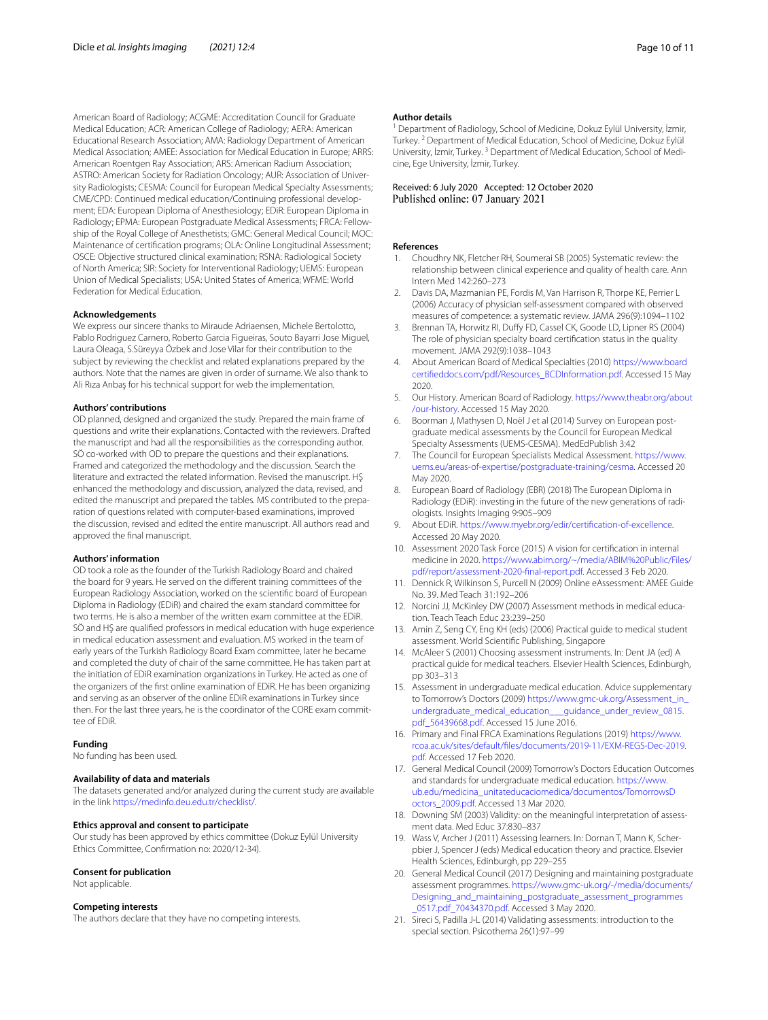American Board of Radiology; ACGME: Accreditation Council for Graduate Medical Education; ACR: American College of Radiology; AERA: American Educational Research Association; AMA: Radiology Department of American Medical Association; AMEE: Association for Medical Education in Europe; ARRS: American Roentgen Ray Association; ARS: American Radium Association; ASTRO: American Society for Radiation Oncology; AUR: Association of University Radiologists; CESMA: Council for European Medical Specialty Assessments; CME/CPD: Continued medical education/Continuing professional development; EDA: European Diploma of Anesthesiology; EDiR: European Diploma in Radiology; EPMA: European Postgraduate Medical Assessments; FRCA: Fellowship of the Royal College of Anesthetists; GMC: General Medical Council; MOC: Maintenance of certifcation programs; OLA: Online Longitudinal Assessment; OSCE: Objective structured clinical examination; RSNA: Radiological Society of North America; SIR: Society for Interventional Radiology; UEMS: European Union of Medical Specialists; USA: United States of America; WFME: World Federation for Medical Education.

#### **Acknowledgements**

We express our sincere thanks to Miraude Adriaensen, Michele Bertolotto, Pablo Rodriguez Carnero, Roberto Garcia Figueiras, Souto Bayarri Jose Miguel, Laura Oleaga, S.Süreyya Özbek and Jose Vilar for their contribution to the subject by reviewing the checklist and related explanations prepared by the authors. Note that the names are given in order of surname. We also thank to Ali Rıza Arıbaş for his technical support for web the implementation.

#### **Authors' contributions**

OD planned, designed and organized the study. Prepared the main frame of questions and write their explanations. Contacted with the reviewers. Drafted the manuscript and had all the responsibilities as the corresponding author. SÖ co-worked with OD to prepare the questions and their explanations. Framed and categorized the methodology and the discussion. Search the literature and extracted the related information. Revised the manuscript. HŞ enhanced the methodology and discussion, analyzed the data, revised, and edited the manuscript and prepared the tables. MS contributed to the preparation of questions related with computer-based examinations, improved the discussion, revised and edited the entire manuscript. All authors read and approved the fnal manuscript.

#### **Authors' information**

OD took a role as the founder of the Turkish Radiology Board and chaired the board for 9 years. He served on the diferent training committees of the European Radiology Association, worked on the scientifc board of European Diploma in Radiology (EDiR) and chaired the exam standard committee for two terms. He is also a member of the written exam committee at the EDiR. SÖ and HŞ are qualifed professors in medical education with huge experience in medical education assessment and evaluation. MS worked in the team of early years of the Turkish Radiology Board Exam committee, later he became and completed the duty of chair of the same committee. He has taken part at the initiation of EDiR examination organizations in Turkey. He acted as one of the organizers of the frst online examination of EDiR. He has been organizing and serving as an observer of the online EDiR examinations in Turkey since then. For the last three years, he is the coordinator of the CORE exam committee of EDiR.

## **Funding**

No funding has been used.

# **Availability of data and materials**

The datasets generated and/or analyzed during the current study are available in the link [https://medinfo.deu.edu.tr/checklist/.](https://medinfo.deu.edu.tr/checklist/)

#### **Ethics approval and consent to participate**

Our study has been approved by ethics committee (Dokuz Eylül University Ethics Committee, Confrmation no: 2020/12-34).

#### **Consent for publication**

Not applicable.

## **Competing interests**

The authors declare that they have no competing interests.

#### **Author details**

<sup>1</sup> Department of Radiology, School of Medicine, Dokuz Eylül University, İzmir, Turkey. <sup>2</sup> Department of Medical Education, School of Medicine, Dokuz Eylül University, İzmir, Turkey. <sup>3</sup> Department of Medical Education, School of Medicine, Ege University, İzmir, Turkey.

# Received: 6 July 2020 Accepted: 12 October 2020<br>Published online: 07 January 2021

#### **References**

- <span id="page-9-0"></span>1. Choudhry NK, Fletcher RH, Soumerai SB (2005) Systematic review: the relationship between clinical experience and quality of health care. Ann Intern Med 142:260–273
- <span id="page-9-1"></span>2. Davis DA, Mazmanian PE, Fordis M, Van Harrison R, Thorpe KE, Perrier L (2006) Accuracy of physician self-assessment compared with observed measures of competence: a systematic review. JAMA 296(9):1094–1102
- <span id="page-9-2"></span>3. Brennan TA, Horwitz RI, Dufy FD, Cassel CK, Goode LD, Lipner RS (2004) The role of physician specialty board certifcation status in the quality movement. JAMA 292(9):1038–1043
- <span id="page-9-3"></span>4. About American Board of Medical Specialties (2010) [https://www.board](https://www.boardcertifieddocs.com/pdf/Resources_BCDInformation.pdf) [certifeddocs.com/pdf/Resources\\_BCDInformation.pdf](https://www.boardcertifieddocs.com/pdf/Resources_BCDInformation.pdf). Accessed 15 May 2020.
- <span id="page-9-4"></span>5. Our History. American Board of Radiology*.* [https://www.theabr.org/about](https://www.theabr.org/about/our-history) [/our-history.](https://www.theabr.org/about/our-history) Accessed 15 May 2020.
- <span id="page-9-5"></span>6. Boorman J, Mathysen D, Noël J et al (2014) Survey on European postgraduate medical assessments by the Council for European Medical Specialty Assessments (UEMS-CESMA). MedEdPublish 3:42
- <span id="page-9-6"></span>7. The Council for European Specialists Medical Assessment. [https://www.](https://www.uems.eu/areas-of-expertise/postgraduate-training/cesma) [uems.eu/areas-of-expertise/postgraduate-training/cesma.](https://www.uems.eu/areas-of-expertise/postgraduate-training/cesma) Accessed 20 May 2020.
- <span id="page-9-7"></span>8. European Board of Radiology (EBR) (2018) The European Diploma in Radiology (EDiR): investing in the future of the new generations of radiologists. Insights Imaging 9:905–909
- <span id="page-9-8"></span>9. About EDiR. [https://www.myebr.org/edir/certifcation-of-excellence](https://www.myebr.org/edir/certification-of-excellence). Accessed 20 May 2020.
- <span id="page-9-9"></span>10. Assessment 2020 Task Force (2015) A vision for certifcation in internal medicine in 2020. [https://www.abim.org/~/media/ABIM%20Public/Files/](https://www.abim.org/~/media/ABIM%20Public/Files/pdf/report/assessment-2020-final-report.pdf) [pdf/report/assessment-2020-fnal-report.pdf.](https://www.abim.org/~/media/ABIM%20Public/Files/pdf/report/assessment-2020-final-report.pdf) Accessed 3 Feb 2020.
- <span id="page-9-10"></span>11. Dennick R, Wilkinson S, Purcell N (2009) Online eAssessment: AMEE Guide No. 39. Med Teach 31:192–206
- <span id="page-9-11"></span>12. Norcini JJ, McKinley DW (2007) Assessment methods in medical education. Teach Teach Educ 23:239–250
- <span id="page-9-15"></span>13. Amin Z, Seng CY, Eng KH (eds) (2006) Practical guide to medical student assessment. World Scientifc Publishing, Singapore
- <span id="page-9-17"></span>14. McAleer S (2001) Choosing assessment instruments. In: Dent JA (ed) A practical guide for medical teachers. Elsevier Health Sciences, Edinburgh, pp 303–313
- <span id="page-9-19"></span>15. Assessment in undergraduate medical education. Advice supplementary to Tomorrow's Doctors (2009) [https://www.gmc-uk.org/Assessment\\_in\\_](http://www.gmc-uk.org/Assessment_in_undergraduate_medical_education___guidance_under_review_0815.pdf_56439668.pdf) [undergraduate\\_medical\\_education\\_\\_\\_guidance\\_under\\_review\\_0815.](http://www.gmc-uk.org/Assessment_in_undergraduate_medical_education___guidance_under_review_0815.pdf_56439668.pdf) [pdf\\_56439668.pdf](http://www.gmc-uk.org/Assessment_in_undergraduate_medical_education___guidance_under_review_0815.pdf_56439668.pdf). Accessed 15 June 2016.
- <span id="page-9-13"></span>16. Primary and Final FRCA Examinations Regulations (2019) [https://www.](https://www.rcoa.ac.uk/sites/default/files/documents/2019-11/EXM-REGS-Dec-2019.pdf) [rcoa.ac.uk/sites/default/fles/documents/2019-11/EXM-REGS-Dec-2019.](https://www.rcoa.ac.uk/sites/default/files/documents/2019-11/EXM-REGS-Dec-2019.pdf) [pdf.](https://www.rcoa.ac.uk/sites/default/files/documents/2019-11/EXM-REGS-Dec-2019.pdf) Accessed 17 Feb 2020.
- 17. General Medical Council (2009) Tomorrow's Doctors Education Outcomes and standards for undergraduate medical education. [https://www.](http://www.ub.edu/medicina_unitateducaciomedica/documentos/TomorrowsDoctors_2009.pdf) [ub.edu/medicina\\_unitateducaciomedica/documentos/TomorrowsD](http://www.ub.edu/medicina_unitateducaciomedica/documentos/TomorrowsDoctors_2009.pdf) [octors\\_2009.pdf](http://www.ub.edu/medicina_unitateducaciomedica/documentos/TomorrowsDoctors_2009.pdf). Accessed 13 Mar 2020.
- <span id="page-9-16"></span>18. Downing SM (2003) Validity: on the meaningful interpretation of assessment data. Med Educ 37:830–837
- <span id="page-9-18"></span>19. Wass V, Archer J (2011) Assessing learners. In: Dornan T, Mann K, Scherpbier J, Spencer J (eds) Medical education theory and practice. Elsevier Health Sciences, Edinburgh, pp 229–255
- <span id="page-9-14"></span>20. General Medical Council (2017) Designing and maintaining postgraduate assessment programmes. [https://www.gmc-uk.org/-/media/documents/](https://www.gmc-uk.org/-/media/documents/Designing_and_maintaining_postgraduate_assessment_programmes_0517.pdf_70434370.pdf) [Designing\\_and\\_maintaining\\_postgraduate\\_assessment\\_programmes](https://www.gmc-uk.org/-/media/documents/Designing_and_maintaining_postgraduate_assessment_programmes_0517.pdf_70434370.pdf) [\\_0517.pdf\\_70434370.pdf.](https://www.gmc-uk.org/-/media/documents/Designing_and_maintaining_postgraduate_assessment_programmes_0517.pdf_70434370.pdf) Accessed 3 May 2020.
- <span id="page-9-12"></span>21. Sireci S, Padilla J-L (2014) Validating assessments: introduction to the special section. Psicothema 26(1):97–99